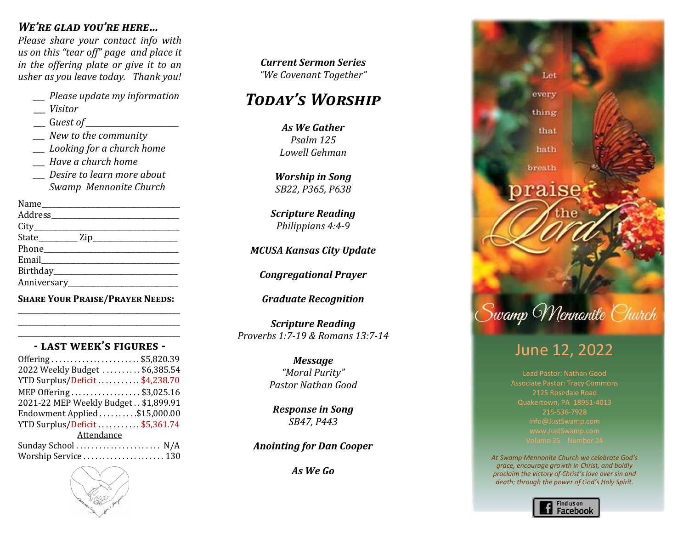## *We're glad you're here…*

*Please share your contact info with us on this "tear off" page and place it in the offering plate or give it to an usher as you leave today. Thank you!*

- *\_\_\_ Please update my information*
- \_\_\_ *Visitor*
- \_\_\_ G*uest of \_\_\_\_\_\_\_\_\_\_\_\_\_\_\_\_\_\_\_\_\_\_\_\_*
- *\_\_\_ New to the community*
- *\_\_\_ Looking for a church home*
- *\_\_\_ Have a church home*
- *\_\_\_ Desire to learn more about Swamp Mennonite Church*

Name\_\_\_\_\_\_\_\_\_\_\_\_\_\_\_\_\_\_\_\_\_\_\_\_\_\_\_\_\_\_\_\_\_\_\_\_\_\_\_ Address\_\_\_\_\_\_\_\_\_\_\_\_\_\_\_\_\_\_\_\_\_\_\_\_\_\_\_\_\_\_\_\_\_\_\_\_ City State\_\_\_\_\_\_\_\_\_\_\_ Zip\_\_\_\_\_\_\_\_\_\_\_\_\_\_\_\_\_\_\_\_\_\_\_\_ Phone Email Birthday\_\_\_\_\_\_\_\_\_\_\_\_\_\_\_\_\_\_\_\_\_\_\_\_\_\_\_\_\_\_\_\_\_\_\_ Anniversary\_\_\_\_\_\_\_\_\_\_\_\_\_\_\_\_\_\_\_\_\_\_\_\_\_\_\_\_\_\_\_

**Share Your Praise/Prayer Needs:** \_\_\_\_\_\_\_\_\_\_\_\_\_\_\_\_\_\_\_\_\_\_\_\_\_\_\_\_\_\_\_\_\_\_\_\_\_\_\_\_\_\_\_\_\_

#### \_\_\_\_\_\_\_\_\_\_\_\_\_\_\_\_\_\_\_\_\_\_\_\_\_\_\_\_\_\_\_\_\_\_\_\_\_\_\_\_\_\_\_\_\_ **- last week's figures -**

\_\_\_\_\_\_\_\_\_\_\_\_\_\_\_\_\_\_\_\_\_\_\_\_\_\_\_\_\_\_\_\_\_\_\_\_\_\_\_\_\_\_\_\_\_

| Offering\$5,820.39                   |
|--------------------------------------|
| 2022 Weekly Budget \$6,385.54        |
| YTD Surplus/Deficit \$4,238.70       |
| MEP Offering \$3,025.16              |
| 2021-22 MEP Weekly Budget \$1,899.91 |
| Endowment Applied \$15,000.00        |
| YTD Surplus/Deficit\$5,361.74        |
| Attendance                           |
|                                      |
| Worship Service  130                 |



*Today's Worship Today's Worship Today's Worship Celebrating Our Life Together "We Covenant Together" Marlin Clemmer Current Sermon Series*

#### *Call to Worship Praise Team Welcome & Focusing Worship Focusing Today's Worship Isaiah 55:6-9, 56:1-2 "Growing Together in Christ"*

*Welcome & Focusing Lowell Gehman & As we dutier*<br>*Psalm 125 Worship in Song Worship in Song SB54, B521 Lowell Gehman <i>We* Gather *Isaiah 55:6-9, 56:1-2 As We Gather Will Sadler Worship in Song Psalm 125*

*Congregational Prayer Praise Team Marlin Clemmer Celebrating Our Life Together SB22, P365, P638 Scripture Reading Jonah 4:5-9, 2 Corinthians 4:7-12 Worship in Song*

*Celebrating Our Life Together Congregational Prayer Steve & Cindy Weaver "Before the Throne of God Above Scripture Reading Childrens Timppians T.T. Philinnians* 4.4.9 *Arr. by Joshua Evanozich Philippians 4:4-9*

*Laura Rush Carol Longacre Congregational Prayer Leah Rush and Carol Longacre MCUSA Kansas City Update*

*<i>Jehanna* Pr *Children's Time Offertory Childrens Time 1 Kings 18-19 Congregational Prayer*

*Scripture Reading 2 Timothy 2:8-13 Barry Gehman Graduate Recognition*

*Message "Promises: Trusting the God Who Scripture Reading Teena Gehman Scripture Reading Matthew 24:26-44; Romans 13:11-44 Congregational Prayer Proverbs 1:7-19 & Romans 13:7-14*

*Pastor Verle A. Brubaker Response in Song Message Message "The Mystery of God in Our Present" Pastor Verle A. Brubaker "Moral Purity" Isaiah 11:1-10 and Romans 15:4-13 Scripture Reading*  $P$ astor Nathan Good *Matthew 26:36-46 Message*

> *Benediction Benediction Response in Song Response in Song SB47, P443 Pastor Verle A. Brubaker Pastor Nathan Good Response in Song*

*In 2013 we will "promote spiritual renewal through studying the Word and obeying the Spirit" This Advent we are "Engaging Benediction the Mystery of God among us" SB10, R606 Anointing for Dan Cooper*

> *This Advent we are "Engaging As We Go"Building a Stronger Christ-*



# June 12, 2022

Lead Pastor: Nathan Good Associate Pastor: Tracy Commons 2125 Rosedale Road Quakertown, PA 18951-4013 215-536-7928

*At Swamp Mennonite Church we celebrate God's grace, encourage growth in Christ, and boldly proclaim the victory of Christ's love over sin and death; through the power of God's Holy Spirit.*